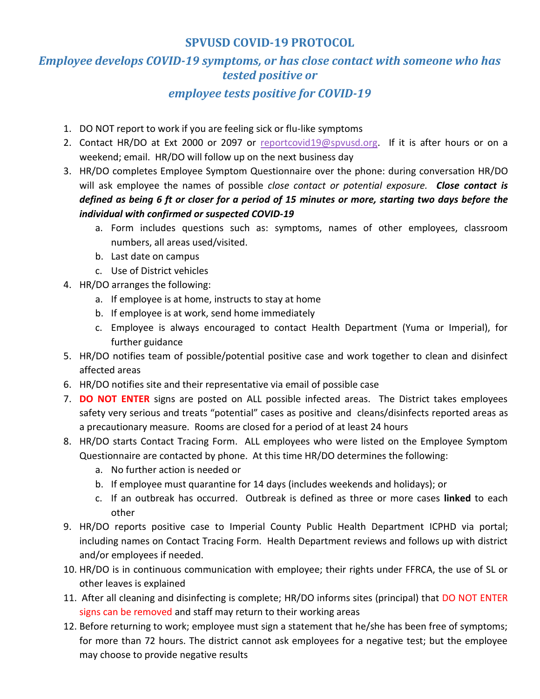## **SPVUSD COVID-19 PROTOCOL**

## *Employee develops COVID-19 symptoms, or has close contact with someone who has tested positive or*

## *employee tests positive for COVID-19*

- 1. DO NOT report to work if you are feeling sick or flu-like symptoms
- 2. Contact HR/DO at Ext 2000 or 2097 or [reportcovid19@spvusd.org.](mailto:reportcovid19@spvusd.org) If it is after hours or on a weekend; email. HR/DO will follow up on the next business day
- 3. HR/DO completes Employee Symptom Questionnaire over the phone: during conversation HR/DO will ask employee the names of possible *close contact or potential exposure. Close contact is defined as being 6 ft or closer for a period of 15 minutes or more, starting two days before the individual with confirmed or suspected COVID-19* 
	- a. Form includes questions such as: symptoms, names of other employees, classroom numbers, all areas used/visited.
	- b. Last date on campus
	- c. Use of District vehicles
- 4. HR/DO arranges the following:
	- a. If employee is at home, instructs to stay at home
	- b. If employee is at work, send home immediately
	- c. Employee is always encouraged to contact Health Department (Yuma or Imperial), for further guidance
- 5. HR/DO notifies team of possible/potential positive case and work together to clean and disinfect affected areas
- 6. HR/DO notifies site and their representative via email of possible case
- 7. **DO NOT ENTER** signs are posted on ALL possible infected areas. The District takes employees safety very serious and treats "potential" cases as positive and cleans/disinfects reported areas as a precautionary measure. Rooms are closed for a period of at least 24 hours
- 8. HR/DO starts Contact Tracing Form. ALL employees who were listed on the Employee Symptom Questionnaire are contacted by phone. At this time HR/DO determines the following:
	- a. No further action is needed or
	- b. If employee must quarantine for 14 days (includes weekends and holidays); or
	- c. If an outbreak has occurred. Outbreak is defined as three or more cases **linked** to each other
- 9. HR/DO reports positive case to Imperial County Public Health Department ICPHD via portal; including names on Contact Tracing Form. Health Department reviews and follows up with district and/or employees if needed.
- 10. HR/DO is in continuous communication with employee; their rights under FFRCA, the use of SL or other leaves is explained
- 11. After all cleaning and disinfecting is complete; HR/DO informs sites (principal) that DO NOT ENTER signs can be removed and staff may return to their working areas
- 12. Before returning to work; employee must sign a statement that he/she has been free of symptoms; for more than 72 hours. The district cannot ask employees for a negative test; but the employee may choose to provide negative results